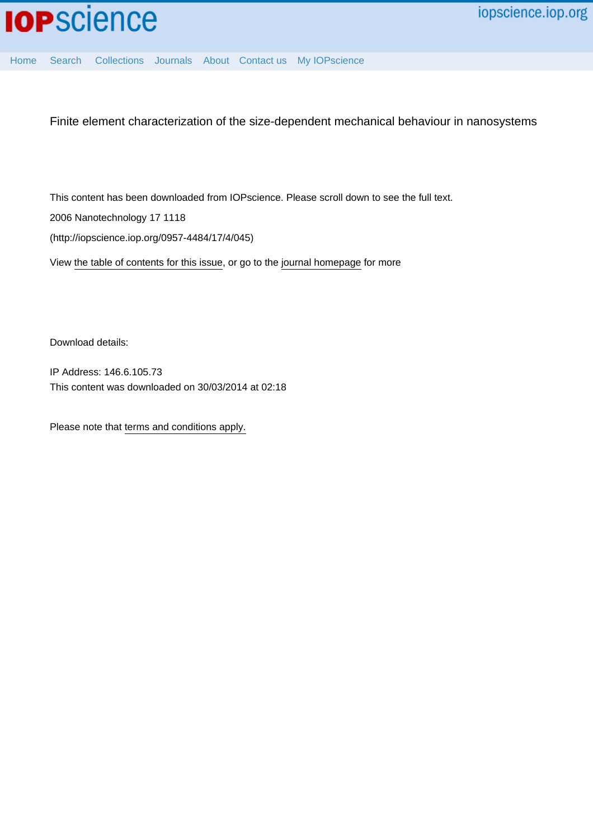

[Home](http://iopscience.iop.org/) [Search](http://iopscience.iop.org/search) [Collections](http://iopscience.iop.org/collections) [Journals](http://iopscience.iop.org/journals) [About](http://iopscience.iop.org/page/aboutioppublishing) [Contact us](http://iopscience.iop.org/contact) [My IOPscience](http://iopscience.iop.org/myiopscience)

Finite element characterization of the size-dependent mechanical behaviour in nanosystems

This content has been downloaded from IOPscience. Please scroll down to see the full text. 2006 Nanotechnology 17 1118

(http://iopscience.iop.org/0957-4484/17/4/045)

View [the table of contents for this issue](http://iopscience.iop.org/0957-4484/17/4), or go to the [journal homepage](http://iopscience.iop.org/0957-4484) for more

Download details:

IP Address: 146.6.105.73 This content was downloaded on 30/03/2014 at 02:18

Please note that [terms and conditions apply.](iopscience.iop.org/page/terms)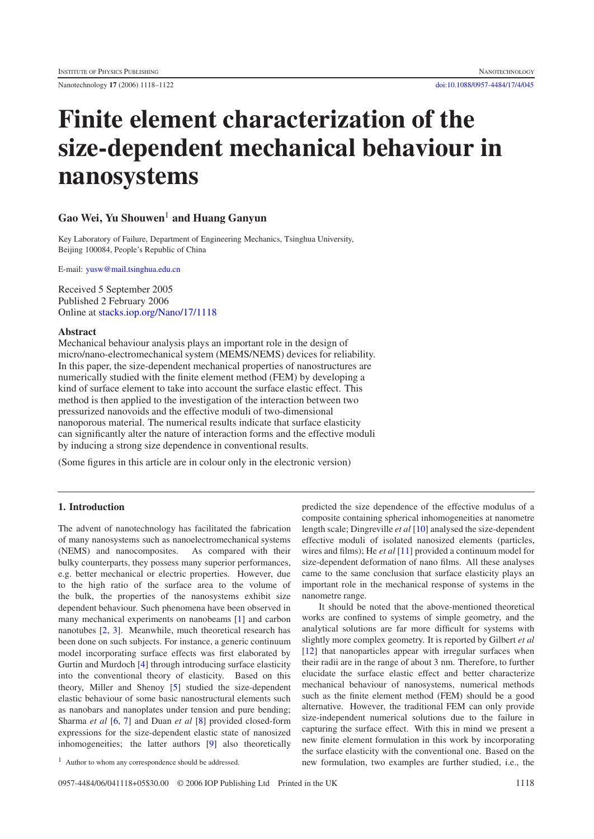Nanotechnology **17** (2006) 1118–1122 [doi:10.1088/0957-4484/17/4/045](http://dx.doi.org/10.1088/0957-4484/17/4/045)

# **Finite element characterization of the size-dependent mechanical behaviour in nanosystems**

# **Gao Wei, Yu Shouwen**<sup>1</sup> **and Huang Ganyun**

Key Laboratory of Failure, Department of Engineering Mechanics, Tsinghua University, Beijing 100084, People's Republic of China

E-mail: [yusw@mail.tsinghua.edu.cn](mailto:yusw@mail.tsinghua.edu.cn)

Received 5 September 2005 Published 2 February 2006 Online at [stacks.iop.org/Nano/17/1118](http://stacks.iop.org/Nano/17/1118)

### **Abstract**

Mechanical behaviour analysis plays an important role in the design of micro/nano-electromechanical system (MEMS/NEMS) devices for reliability. In this paper, the size-dependent mechanical properties of nanostructures are numerically studied with the finite element method (FEM) by developing a kind of surface element to take into account the surface elastic effect. This method is then applied to the investigation of the interaction between two pressurized nanovoids and the effective moduli of two-dimensional nanoporous material. The numerical results indicate that surface elasticity can significantly alter the nature of interaction forms and the effective moduli by inducing a strong size dependence in conventional results.

(Some figures in this article are in colour only in the electronic version)

# **1. Introduction**

The advent of nanotechnology has facilitated the fabrication of many nanosystems such as nanoelectromechanical systems (NEMS) and nanocomposites. As compared with their bulky counterparts, they possess many superior performances, e.g. better mechanical or electric properties. However, due to the high ratio of the surface area to the volume of the bulk, the properties of the nanosystems exhibit size dependent behaviour. Such phenomena have been observed in many mechanical experiments on nanobeams [\[1\]](#page-5-0) and carbon nanotubes [\[2,](#page-5-1) [3\]](#page-5-2). Meanwhile, much theoretical research has been done on such subjects. For instance, a generic continuum model incorporating surface effects was first elaborated by Gurtin and Murdoch [\[4\]](#page-5-3) through introducing surface elasticity into the conventional theory of elasticity. Based on this theory, Miller and Shenoy [\[5\]](#page-5-4) studied the size-dependent elastic behaviour of some basic nanostructural elements such as nanobars and nanoplates under tension and pure bending; Sharma *et al* [\[6,](#page-5-5) [7\]](#page-5-6) and Duan *et al* [\[8\]](#page-5-7) provided closed-form expressions for the size-dependent elastic state of nanosized inhomogeneities; the latter authors [\[9\]](#page-5-8) also theoretically

predicted the size dependence of the effective modulus of a composite containing spherical inhomogeneities at nanometre length scale; Dingreville *et al* [\[10\]](#page-5-9) analysed the size-dependent effective moduli of isolated nanosized elements (particles, wires and films); He *et al* [\[11\]](#page-5-10) provided a continuum model for size-dependent deformation of nano films. All these analyses came to the same conclusion that surface elasticity plays an important role in the mechanical response of systems in the nanometre range.

It should be noted that the above-mentioned theoretical works are confined to systems of simple geometry, and the analytical solutions are far more difficult for systems with slightly more complex geometry. It is reported by Gilbert *et al* [\[12\]](#page-5-11) that nanoparticles appear with irregular surfaces when their radii are in the range of about 3 nm. Therefore, to further elucidate the surface elastic effect and better characterize mechanical behaviour of nanosystems, numerical methods such as the finite element method (FEM) should be a good alternative. However, the traditional FEM can only provide size-independent numerical solutions due to the failure in capturing the surface effect. With this in mind we present a new finite element formulation in this work by incorporating the surface elasticity with the conventional one. Based on the new formulation, two examples are further studied, i.e., the

<sup>1</sup> Author to whom any correspondence should be addressed.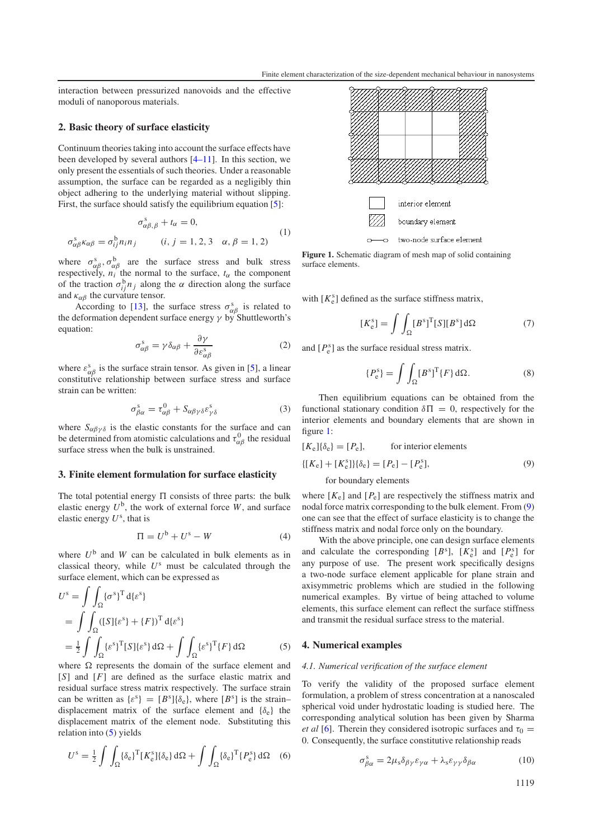interaction between pressurized nanovoids and the effective moduli of nanoporous materials.

## **2. Basic theory of surface elasticity**

Continuum theories taking into account the surface effects have been developed by several authors [\[4–11\]](#page-5-3). In this section, we only present the essentials of such theories. Under a reasonable assumption, the surface can be regarded as a negligibly thin object adhering to the underlying material without slipping. First, the surface should satisfy the equilibrium equation [\[5\]](#page-5-4):

$$
\sigma_{\alpha\beta,\beta}^s + t_{\alpha} = 0,
$$
  
\n
$$
\sigma_{\alpha\beta}^s \kappa_{\alpha\beta} = \sigma_{ij}^b n_i n_j \qquad (i, j = 1, 2, 3 \quad \alpha, \beta = 1, 2)
$$
 (1)

where  $\sigma_{\alpha\beta}^s$ ,  $\sigma_{\alpha\beta}^b$  are the surface stress and bulk stress respectively,  $n_i$  the normal to the surface,  $t_\alpha$  the component of the traction  $\sigma_{ij}^{\mathrm{b}} n_j$  along the  $\alpha$  direction along the surface and  $\kappa_{\alpha\beta}$  the curvature tensor.

According to [\[13\]](#page-5-12), the surface stress  $\sigma_{\alpha\beta}^{s}$  is related to the deformation dependent surface energy  $\gamma$  by Shuttleworth's equation:

$$
\sigma_{\alpha\beta}^s = \gamma \delta_{\alpha\beta} + \frac{\partial \gamma}{\partial \varepsilon_{\alpha\beta}^s}
$$
 (2)

where  $\varepsilon_{\alpha\beta}^{s}$  is the surface strain tensor. As given in [\[5\]](#page-5-4), a linear constitutive relationship between surface stress and surface strain can be written:

$$
\sigma_{\beta\alpha}^s = \tau_{\alpha\beta}^0 + S_{\alpha\beta\gamma\delta} \varepsilon_{\gamma\delta}^s \tag{3}
$$

where  $S_{\alpha\beta\gamma\delta}$  is the elastic constants for the surface and can be determined from atomistic calculations and  $\tau_{\alpha\beta}^{0}$  the residual surface stress when the bulk is unstrained.

#### **3. Finite element formulation for surface elasticity**

The total potential energy  $\Pi$  consists of three parts: the bulk elastic energy  $U^b$ , the work of external force  $W$ , and surface elastic energy  $U^s$ , that is

<span id="page-2-0"></span>
$$
\Pi = U^{\mathsf{b}} + U^{\mathsf{s}} - W \tag{4}
$$

where  $U^b$  and  $W$  can be calculated in bulk elements as in classical theory, while *U*<sup>s</sup> must be calculated through the surface element, which can be expressed as

$$
U^{s} = \int \int_{\Omega} {\{\sigma^{s}\}}^{T} d{\{\varepsilon^{s}\}}
$$
  
= 
$$
\int \int_{\Omega} ([S]{\{\varepsilon^{s}\}} + {F})^{T} d{\{\varepsilon^{s}\}}
$$
  
= 
$$
\frac{1}{2} \int \int_{\Omega} {\{\varepsilon^{s}\}}^{T} [S]{\{\varepsilon^{s}\}} d\Omega + \int \int_{\Omega} {\{\varepsilon^{s}\}}^{T} {F} d\Omega
$$
 (5)

where  $\Omega$  represents the domain of the surface element and [*S*] and [*F*] are defined as the surface elastic matrix and residual surface stress matrix respectively. The surface strain can be written as  $\{\varepsilon^s\} = [B^s]\{\delta_e\}$ , where  $[B^s]$  is the strain– displacement matrix of the surface element and  $\{\delta_e\}$  the displacement matrix of the element node. Substituting this relation into  $(5)$  yields

$$
U^{\rm s} = \frac{1}{2} \int \int_{\Omega} {\{\delta_{\rm e}\}}^{\rm T} [K_{\rm e}^{\rm s}] {\{\delta_{\rm e}\}} d\Omega + \int \int_{\Omega} {\{\delta_{\rm e}\}}^{\rm T} {P_{\rm e}^{\rm s}\}} d\Omega \quad (6)
$$

<span id="page-2-1"></span>

Figure 1. Schematic diagram of mesh map of solid containing surface elements.

with  $[K_e^s]$  defined as the surface stiffness matrix,

$$
[K_{e}^{s}] = \int \int_{\Omega} [B^{s}]^{T} [S][B^{s}] d\Omega \tag{7}
$$

and  $[P_e^s]$  as the surface residual stress matrix.

$$
\{P_e^s\} = \int \int_{\Omega} [B^s]^{\text{T}} \{F\} \,\mathrm{d}\Omega. \tag{8}
$$

<span id="page-2-2"></span>Then equilibrium equations can be obtained from the functional stationary condition  $\delta \Pi = 0$ , respectively for the interior elements and boundary elements that are shown in figure [1:](#page-2-1)

$$
[Ke]\{\deltae\} = [Pe], \qquad \text{for interior elements}
$$

$$
\{[Ke] + [Kes]\}\{\deltae\} = [Pe] - [Pes], \qquad (9)
$$

#### for boundary elements

where  $[K_e]$  and  $[P_e]$  are respectively the stiffness matrix and nodal force matrix corresponding to the bulk element. From [\(9\)](#page-2-2) one can see that the effect of surface elasticity is to change the stiffness matrix and nodal force only on the boundary.

With the above principle, one can design surface elements and calculate the corresponding  $[B^s]$ ,  $[K_e^s]$  and  $[P_e^s]$  for any purpose of use. The present work specifically designs a two-node surface element applicable for plane strain and axisymmetric problems which are studied in the following numerical examples. By virtue of being attached to volume elements, this surface element can reflect the surface stiffness and transmit the residual surface stress to the material.

#### **4. Numerical examples**

#### *4.1. Numerical verification of the surface element*

To verify the validity of the proposed surface element formulation, a problem of stress concentration at a nanoscaled spherical void under hydrostatic loading is studied here. The corresponding analytical solution has been given by Sharma *et al* [\[6\]](#page-5-5). Therein they considered isotropic surfaces and  $\tau_0 =$ 0. Consequently, the surface constitutive relationship reads

$$
\sigma_{\beta\alpha}^s = 2\mu_s \delta_{\beta\gamma} \varepsilon_{\gamma\alpha} + \lambda_s \varepsilon_{\gamma\gamma} \delta_{\beta\alpha} \tag{10}
$$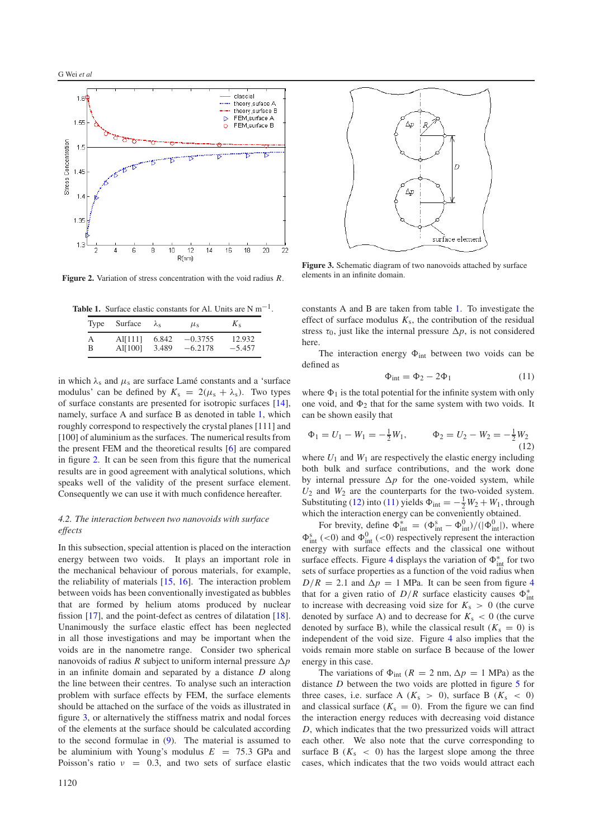<span id="page-3-1"></span>

<span id="page-3-0"></span>**Figure 2.** Variation of stress concentration with the void radius *R*.

**Table 1.** Surface elastic constants for Al. Units are  $N m^{-1}$ .

| Type | Surface | $\lambda_{\rm c}$ | $\mu_{\rm s}$ | $K_{S}$  |
|------|---------|-------------------|---------------|----------|
| А    | AI[111] | 6.842             | $-0.3755$     | 12.932   |
| в    | Al[100] | 3.489             | $-6.2178$     | $-5.457$ |

in which  $\lambda_s$  and  $\mu_s$  are surface Lamé constants and a 'surface modulus' can be defined by  $K_s = 2(\mu_s + \lambda_s)$ . Two types of surface constants are presented for isotropic surfaces [\[14\]](#page-5-13), namely, surface A and surface B as denoted in table [1,](#page-3-0) which roughly correspond to respectively the crystal planes [111] and [100] of aluminium as the surfaces. The numerical results from the present FEM and the theoretical results [\[6\]](#page-5-5) are compared in figure [2.](#page-3-1) It can be seen from this figure that the numerical results are in good agreement with analytical solutions, which speaks well of the validity of the present surface element. Consequently we can use it with much confidence hereafter.

### <span id="page-3-5"></span>*4.2. The interaction between two nanovoids with surface effects*

In this subsection, special attention is placed on the interaction energy between two voids. It plays an important role in the mechanical behaviour of porous materials, for example, the reliability of materials [\[15,](#page-5-14) [16\]](#page-5-15). The interaction problem between voids has been conventionally investigated as bubbles that are formed by helium atoms produced by nuclear fission [\[17\]](#page-5-16), and the point-defect as centres of dilatation [\[18\]](#page-5-17). Unanimously the surface elastic effect has been neglected in all those investigations and may be important when the voids are in the nanometre range. Consider two spherical nanovoids of radius *R* subject to uniform internal pressure  $\Delta p$ in an infinite domain and separated by a distance *D* along the line between their centres. To analyse such an interaction problem with surface effects by FEM, the surface elements should be attached on the surface of the voids as illustrated in figure [3,](#page-3-2) or alternatively the stiffness matrix and nodal forces of the elements at the surface should be calculated according to the second formulae in [\(9\)](#page-2-2). The material is assumed to be aluminium with Young's modulus  $E = 75.3$  GPa and Poisson's ratio  $v = 0.3$ , and two sets of surface elastic

<span id="page-3-2"></span>

**Figure 3.** Schematic diagram of two nanovoids attached by surface elements in an infinite domain.

<span id="page-3-4"></span>constants A and B are taken from table [1.](#page-3-0) To investigate the effect of surface modulus  $K_s$ , the contribution of the residual stress  $\tau_0$ , just like the internal pressure  $\Delta p$ , is not considered here.

<span id="page-3-3"></span>The interaction energy  $\Phi_{int}$  between two voids can be defined as

$$
\Phi_{\text{int}} = \Phi_2 - 2\Phi_1 \tag{11}
$$

where  $\Phi_1$  is the total potential for the infinite system with only one void, and  $\Phi_2$  that for the same system with two voids. It can be shown easily that

$$
\Phi_1 = U_1 - W_1 = -\frac{1}{2}W_1, \qquad \Phi_2 = U_2 - W_2 = -\frac{1}{2}W_2
$$
\n(12)

where  $U_1$  and  $W_1$  are respectively the elastic energy including both bulk and surface contributions, and the work done by internal pressure  $\Delta p$  for the one-voided system, while  $U_2$  and  $W_2$  are the counterparts for the two-voided system. Substituting [\(12\)](#page-3-3) into [\(11\)](#page-3-4) yields  $\Phi_{int} = -\frac{1}{2}W_2 + W_1$ , through which the interaction energy can be conveniently obtained.

For brevity, define  $\Phi_{int}^{*} = (\Phi_{int}^{s} - \Phi_{int}^{0})/(|\Phi_{int}^{0}|)$ , where  $\Phi_{\text{int}}^{s}$  (<0) and  $\Phi_{\text{int}}^{0}$  (<0) respectively represent the interaction energy with surface effects and the classical one without surface effects. Figure [4](#page-4-0) displays the variation of  $\Phi_{int}^{*}$  for two sets of surface properties as a function of the void radius when  $D/R = 2.1$  and  $\Delta p = 1$  MPa. It can be seen from figure [4](#page-4-0) that for a given ratio of  $D/R$  surface elasticity causes  $\Phi_{int}^*$ to increase with decreasing void size for  $K_s > 0$  (the curve denoted by surface A) and to decrease for  $K_s < 0$  (the curve denoted by surface B), while the classical result  $(K_s = 0)$  is independent of the void size. Figure [4](#page-4-0) also implies that the voids remain more stable on surface B because of the lower energy in this case.

The variations of  $\Phi_{int}$  ( $R = 2$  nm,  $\Delta p = 1$  MPa) as the distance *D* between the two voids are plotted in figure [5](#page-4-1) for three cases, i.e. surface A  $(K<sub>s</sub> > 0)$ , surface B  $(K<sub>s</sub> < 0)$ and classical surface  $(K<sub>s</sub> = 0)$ . From the figure we can find the interaction energy reduces with decreasing void distance *D*, which indicates that the two pressurized voids will attract each other. We also note that the curve corresponding to surface B  $(K<sub>s</sub> < 0)$  has the largest slope among the three cases, which indicates that the two voids would attract each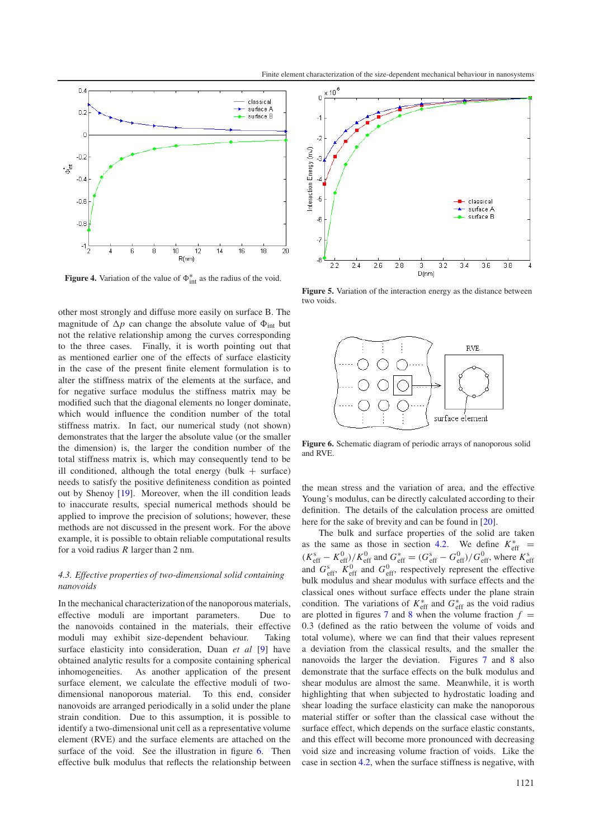<span id="page-4-0"></span>

**Figure 4.** Variation of the value of  $\Phi_{int}^{*}$  as the radius of the void.

other most strongly and diffuse more easily on surface B. The magnitude of  $\Delta p$  can change the absolute value of  $\Phi_{int}$  but not the relative relationship among the curves corresponding to the three cases. Finally, it is worth pointing out that as mentioned earlier one of the effects of surface elasticity in the case of the present finite element formulation is to alter the stiffness matrix of the elements at the surface, and for negative surface modulus the stiffness matrix may be modified such that the diagonal elements no longer dominate, which would influence the condition number of the total stiffness matrix. In fact, our numerical study (not shown) demonstrates that the larger the absolute value (or the smaller the dimension) is, the larger the condition number of the total stiffness matrix is, which may consequently tend to be ill conditioned, although the total energy (bulk  $+$  surface) needs to satisfy the positive definiteness condition as pointed out by Shenoy [\[19\]](#page-5-18). Moreover, when the ill condition leads to inaccurate results, special numerical methods should be applied to improve the precision of solutions; however, these methods are not discussed in the present work. For the above example, it is possible to obtain reliable computational results for a void radius *R* larger than 2 nm.

## *4.3. Effective properties of two-dimensional solid containing nanovoids*

In the mechanical characterizationof the nanoporous materials, effective moduli are important parameters. Due to the nanovoids contained in the materials, their effective moduli may exhibit size-dependent behaviour. Taking surface elasticity into consideration, Duan *et al* [\[9\]](#page-5-8) have obtained analytic results for a composite containing spherical inhomogeneities. As another application of the present surface element, we calculate the effective moduli of twodimensional nanoporous material. To this end, consider nanovoids are arranged periodically in a solid under the plane strain condition. Due to this assumption, it is possible to identify a two-dimensional unit cell as a representative volume element (RVE) and the surface elements are attached on the surface of the void. See the illustration in figure [6.](#page-4-2) Then effective bulk modulus that reflects the relationship between

<span id="page-4-1"></span>

<span id="page-4-2"></span>**Figure 5.** Variation of the interaction energy as the distance between two voids.



**Figure 6.** Schematic diagram of periodic arrays of nanoporous solid and RVE.

the mean stress and the variation of area, and the effective Young's modulus, can be directly calculated according to their definition. The details of the calculation process are omitted here for the sake of brevity and can be found in [\[20\]](#page-5-19).

The bulk and surface properties of the solid are taken as the same as those in section [4.2.](#page-3-5) We define  $K_{\text{eff}}^*$  =  $(K_{\text{eff}}^{s} - K_{\text{eff}}^{0})/K_{\text{eff}}^{0}$  and  $G_{\text{eff}}^{s} = (G_{\text{eff}}^{s} - G_{\text{eff}}^{0})/G_{\text{eff}}^{0}$ , where  $K_{\text{eff}}^{s}$  and  $G_{\text{eff}}^{0}$ ,  $K_{\text{eff}}^{0}$  and  $G_{\text{eff}}^{0}$ , respectively represent the effective bulk modulus and shear modulus with surface effects and the classical ones without surface effects under the plane strain condition. The variations of  $K_{\text{eff}}^*$  and  $G_{\text{eff}}^*$  as the void radius are plotted in figures [7](#page-5-20) and [8](#page-5-21) when the volume fraction  $f =$ 0.3 (defined as the ratio between the volume of voids and total volume), where we can find that their values represent a deviation from the classical results, and the smaller the nanovoids the larger the deviation. Figures [7](#page-5-20) and [8](#page-5-21) also demonstrate that the surface effects on the bulk modulus and shear modulus are almost the same. Meanwhile, it is worth highlighting that when subjected to hydrostatic loading and shear loading the surface elasticity can make the nanoporous material stiffer or softer than the classical case without the surface effect, which depends on the surface elastic constants, and this effect will become more pronounced with decreasing void size and increasing volume fraction of voids. Like the case in section [4.2,](#page-3-5) when the surface stiffness is negative, with